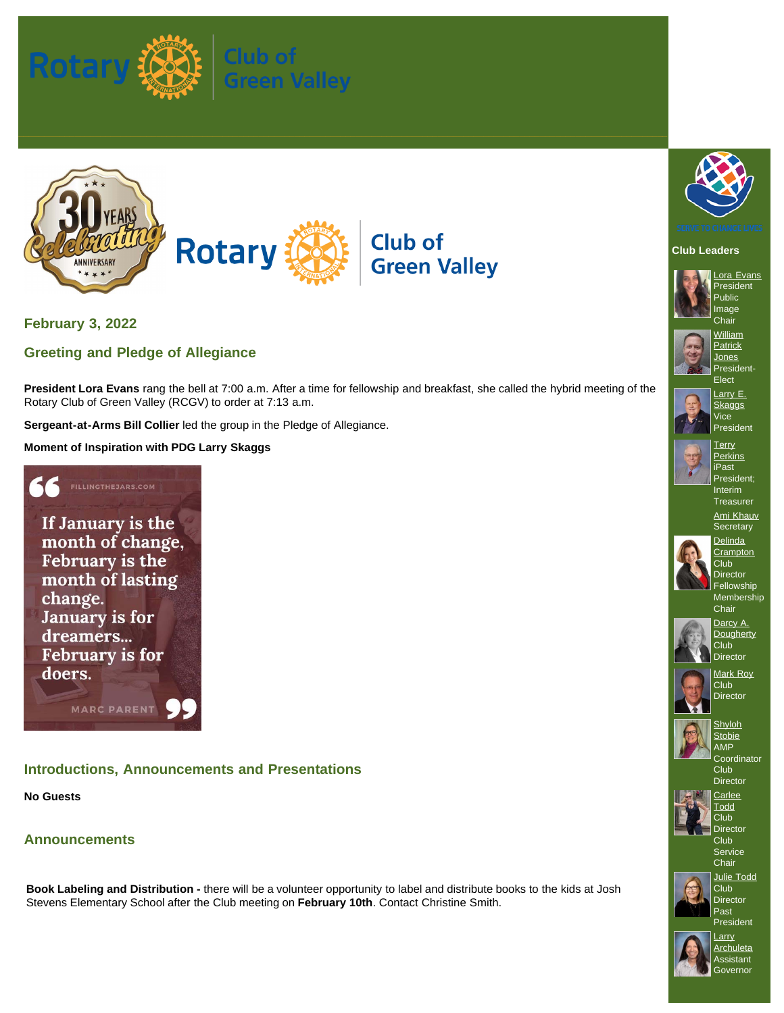



**February 3, 2022**

# **Greeting and Pledge of Allegiance**

**President Lora Evans** rang the bell at 7:00 a.m. After a time for fellowship and breakfast, she called the hybrid meeting of the Rotary Club of Green Valley (RCGV) to order at 7:13 a.m.

**Sergeant-at-Arms Bill Collier** led the group in the Pledge of Allegiance.

**Moment of Inspiration with PDG Larry Skaggs**

FILLINGTHEJARS.COM If January is the month of change, February is the month of lasting change. January is for dreamers... **February is for** doers. MARC PARENT

## **Introductions, Announcements and Presentations**

**No Guests**

**Announcements**



### **Club Leaders**



[Lora Evans](https://www.ismyrotaryclub.org/EMailer.cfm?ID=800653198) President Public Image **Chair** 



**[Jones](https://www.ismyrotaryclub.org/EMailer.cfm?ID=800929037)** President-Elect



[Larry E.](https://www.ismyrotaryclub.org/EMailer.cfm?ID=800255532) **[Skaggs](https://www.ismyrotaryclub.org/EMailer.cfm?ID=800255532) Vice** President



**[Perkins](https://www.ismyrotaryclub.org/EMailer.cfm?ID=800522208)** iPast President; Interim **Treasurer** 





**[Crampton](https://www.ismyrotaryclub.org/EMailer.cfm?ID=800457929)** Club **Director** Fellowship

Membership **Chair** [Darcy A.](https://www.ismyrotaryclub.org/EMailer.cfm?ID=800351911)



**[Dougherty](https://www.ismyrotaryclub.org/EMailer.cfm?ID=800351911)** Club<sup>1</sup> **Director** 





[Shyloh](https://www.ismyrotaryclub.org/EMailer.cfm?ID=800703760) **[Stobie](https://www.ismyrotaryclub.org/EMailer.cfm?ID=800703760)** AMP Coordinator

Club **Director [Carlee](https://www.ismyrotaryclub.org/EMailer.cfm?ID=800810052) [Todd](https://www.ismyrotaryclub.org/EMailer.cfm?ID=800810052)** 



Club **Director** Club Service

**Chair** [Julie Todd](https://www.ismyrotaryclub.org/EMailer.cfm?ID=800600051)



Club Director Past President



**[Larry](https://www.ismyrotaryclub.org/EMailer.cfm?ID=800430825) [Archuleta](https://www.ismyrotaryclub.org/EMailer.cfm?ID=800430825) Assistant Governor** 

**Book Labeling and Distribution -** there will be a volunteer opportunity to label and distribute books to the kids at Josh Stevens Elementary School after the Club meeting on **February 10th**. Contact Christine Smith.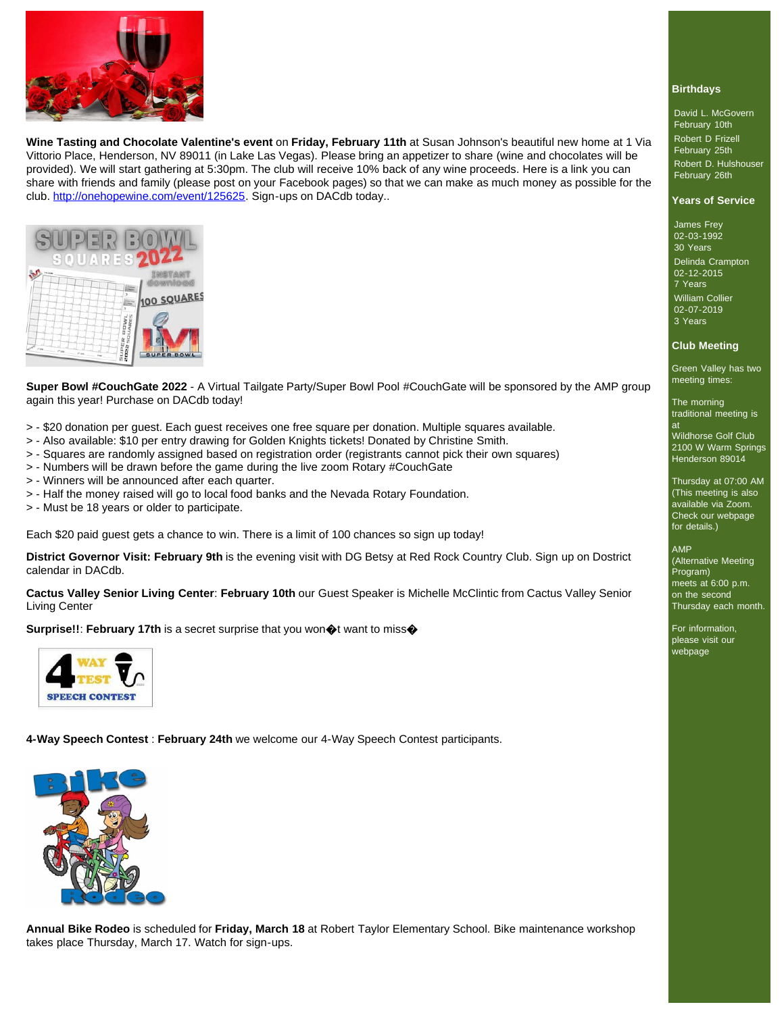

**Wine Tasting and Chocolate Valentine's event** on **Friday, February 11th** at Susan Johnson's beautiful new home at 1 Via Vittorio Place, Henderson, NV 89011 (in Lake Las Vegas). Please bring an appetizer to share (wine and chocolates will be provided). We will start gathering at 5:30pm. The club will receive 10% back of any wine proceeds. Here is a link you can share with friends and family (please post on your Facebook pages) so that we can make as much money as possible for the club.<http://onehopewine.com/event/125625>. Sign-ups on DACdb today..



**Super Bowl #CouchGate 2022** - A Virtual Tailgate Party/Super Bowl Pool #CouchGate will be sponsored by the AMP group again this year! Purchase on DACdb today!

- > \$20 donation per guest. Each guest receives one free square per donation. Multiple squares available.
- > Also available: \$10 per entry drawing for Golden Knights tickets! Donated by Christine Smith.
- > Squares are randomly assigned based on registration order (registrants cannot pick their own squares)
- > Numbers will be drawn before the game during the live zoom Rotary #CouchGate
- > Winners will be announced after each quarter.
- > Half the money raised will go to local food banks and the Nevada Rotary Foundation.
- > Must be 18 years or older to participate.

Each \$20 paid guest gets a chance to win. There is a limit of 100 chances so sign up today!

**District Governor Visit: February 9th** is the evening visit with DG Betsy at Red Rock Country Club. Sign up on Dostrict calendar in DACdb.

**Cactus Valley Senior Living Center**: **February 10th** our Guest Speaker is Michelle McClintic from Cactus Valley Senior Living Center

**Surprise!!: February 17th** is a secret surprise that you won  $\phi$ t want to miss $\phi$ 



**4-Way Speech Contest** : **February 24th** we welcome our 4-Way Speech Contest participants.



**Annual Bike Rodeo** is scheduled for **Friday, March 18** at Robert Taylor Elementary School. Bike maintenance workshop takes place Thursday, March 17. Watch for sign-ups.

#### **Birthdays**

David L. McGovern February 10th Robert D Frizell February 25th Robert D. Hulshouser February 26th

#### **Years of Service**

James Frey 02-03-1992 30 Years Delinda Crampton 02-12-2015

7 Years William Collier 02-07-2019 3 Years

#### **Club Meeting**

Green Valley has two meeting times:

The morning traditional meeting is at

Wildhorse Golf Club 2100 W Warm Springs Henderson 89014

Thursday at 07:00 AM (This meeting is also available via Zoom. Check our webpage for details.)

#### AMP

(Alternative Meeting Program) meets at 6:00 p.m. on the second Thursday each month.

For information, please visit our webpage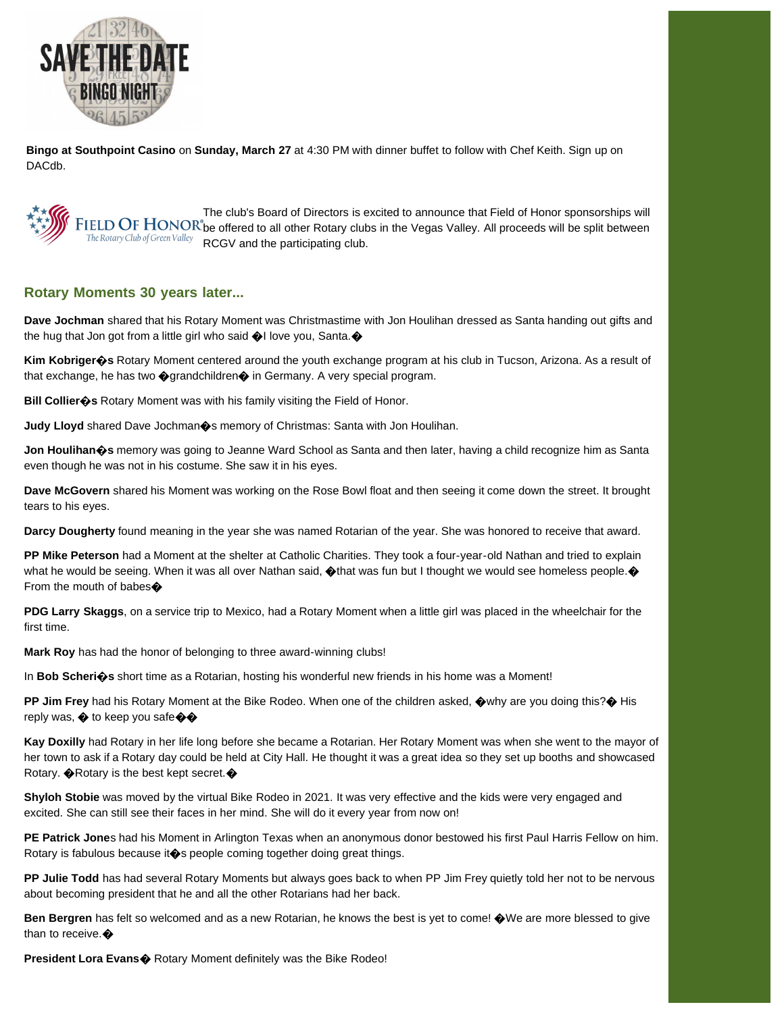

**Bingo at Southpoint Casino** on **Sunday, March 27** at 4:30 PM with dinner buffet to follow with Chef Keith. Sign up on DACdb.

The club's Board of Directors is excited to announce that Field of Honor sponsorships will FIELD OF HONOR be offered to all other Rotary clubs in the Vegas Valley. All proceeds will be split between  $R_{\text{ELU}}$  and  $R_{\text{CPU}}$  and the participating club.

### **Rotary Moments 30 years later...**

**Dave Jochman** shared that his Rotary Moment was Christmastime with Jon Houlihan dressed as Santa handing out gifts and the hug that Jon got from a little girl who said  $\bigcirc$ I love you, Santa. $\bigcirc$ 

**Kim Kobriger�s** Rotary Moment centered around the youth exchange program at his club in Tucson, Arizona. As a result of that exchange, he has two  $\Diamond$  grandchildren $\Diamond$  in Germany. A very special program.

**Bill Collier�s** Rotary Moment was with his family visiting the Field of Honor.

**Judy Lloyd** shared Dave Jochman  $\diamondsuit$ s memory of Christmas: Santa with Jon Houlihan.

**Jon Houlihan�s** memory was going to Jeanne Ward School as Santa and then later, having a child recognize him as Santa even though he was not in his costume. She saw it in his eyes.

**Dave McGovern** shared his Moment was working on the Rose Bowl float and then seeing it come down the street. It brought tears to his eyes.

**Darcy Dougherty** found meaning in the year she was named Rotarian of the year. She was honored to receive that award.

**PP Mike Peterson** had a Moment at the shelter at Catholic Charities. They took a four-year-old Nathan and tried to explain what he would be seeing. When it was all over Nathan said,  $\bigcirc$  that was fun but I thought we would see homeless people.  $\bigcirc$ From the mouth of babes

**PDG Larry Skaggs**, on a service trip to Mexico, had a Rotary Moment when a little girl was placed in the wheelchair for the first time.

**Mark Roy** has had the honor of belonging to three award-winning clubs!

In **Bob Scheri�s** short time as a Rotarian, hosting his wonderful new friends in his home was a Moment!

**PP Jim Frey** had his Rotary Moment at the Bike Rodeo. When one of the children asked, �why are you doing this?� His reply was,  $\bigcirc$  to keep you safe $\bigcirc$ 

**Kay Doxilly** had Rotary in her life long before she became a Rotarian. Her Rotary Moment was when she went to the mayor of her town to ask if a Rotary day could be held at City Hall. He thought it was a great idea so they set up booths and showcased Rotary.  $\bigcirc$ Rotary is the best kept secret.  $\bigcirc$ 

**Shyloh Stobie** was moved by the virtual Bike Rodeo in 2021. It was very effective and the kids were very engaged and excited. She can still see their faces in her mind. She will do it every year from now on!

**PE Patrick Jone**s had his Moment in Arlington Texas when an anonymous donor bestowed his first Paul Harris Fellow on him. Rotary is fabulous because it  $\diamond$ s people coming together doing great things.

**PP Julie Todd** has had several Rotary Moments but always goes back to when PP Jim Frey quietly told her not to be nervous about becoming president that he and all the other Rotarians had her back.

**Ben Bergren** has felt so welcomed and as a new Rotarian, he knows the best is yet to come!  $\bigcirc$  We are more blessed to give than to receive. $\clubsuit$ 

**President Lora Evans** $\diamondsuit$  Rotary Moment definitely was the Bike Rodeo!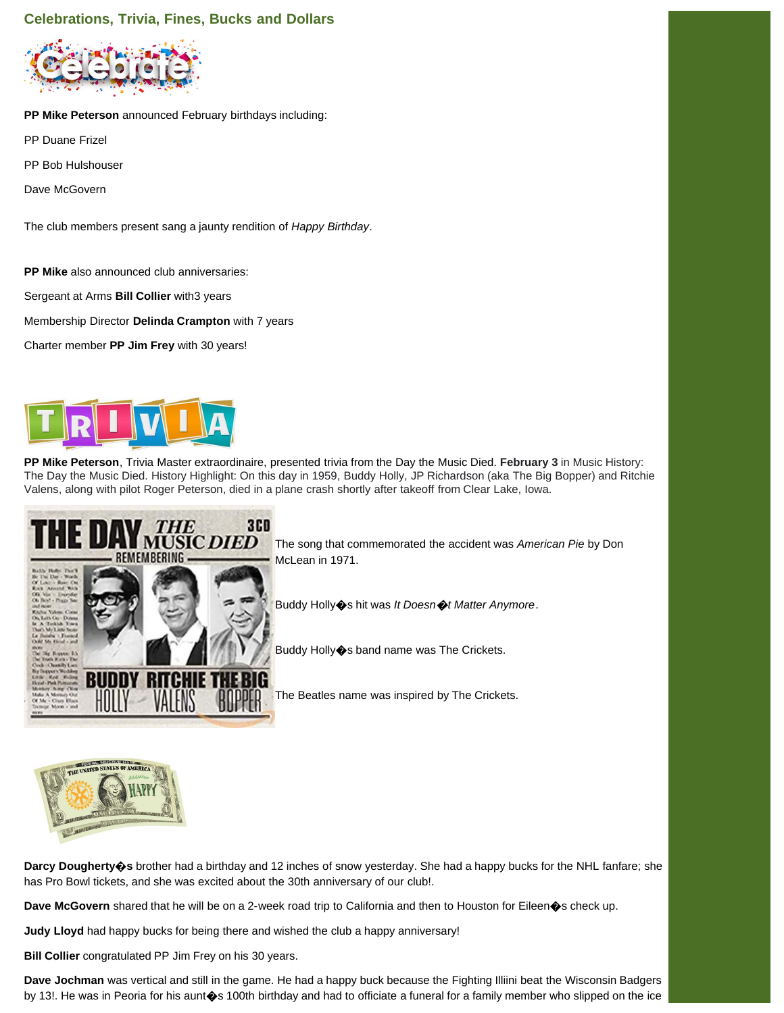## **Celebrations, Trivia, Fines, Bucks and Dollars**



**PP Mike Peterson** announced February birthdays including:

- PP Duane Frizel
- PP Bob Hulshouser

Dave McGovern

The club members present sang a jaunty rendition of *Happy Birthday*.

**PP Mike** also announced club anniversaries:

Sergeant at Arms **Bill Collier** with3 years

Membership Director **Delinda Crampton** with 7 years

Charter member **PP Jim Frey** with 30 years!



**PP Mike Peterson**, Trivia Master extraordinaire, presented trivia from the Day the Music Died. **February 3** in Music History: The Day the Music Died. History Highlight: On this day in 1959, Buddy Holly, JP Richardson (aka The Big Bopper) and Ritchie Valens, along with pilot Roger Peterson, died in a plane crash shortly after takeoff from Clear Lake, Iowa.



The song that commemorated the accident was *American Pie* by Don McLean in 1971.

Buddy Holly�s hit was *It Doesn*�*t Matter Anymore*.

Buddy Holly�s band name was The Crickets.

The Beatles name was inspired by The Crickets.



**Darcy Dougherty�s** brother had a birthday and 12 inches of snow yesterday. She had a happy bucks for the NHL fanfare; she has Pro Bowl tickets, and she was excited about the 30th anniversary of our club!.

**Dave McGovern** shared that he will be on a 2-week road trip to California and then to Houston for Eileen�s check up.

**Judy Lloyd** had happy bucks for being there and wished the club a happy anniversary!

**Bill Collier** congratulated PP Jim Frey on his 30 years.

**Dave Jochman** was vertical and still in the game. He had a happy buck because the Fighting Illiini beat the Wisconsin Badgers by 13!. He was in Peoria for his aunt $\bullet$ s 100th birthday and had to officiate a funeral for a family member who slipped on the ice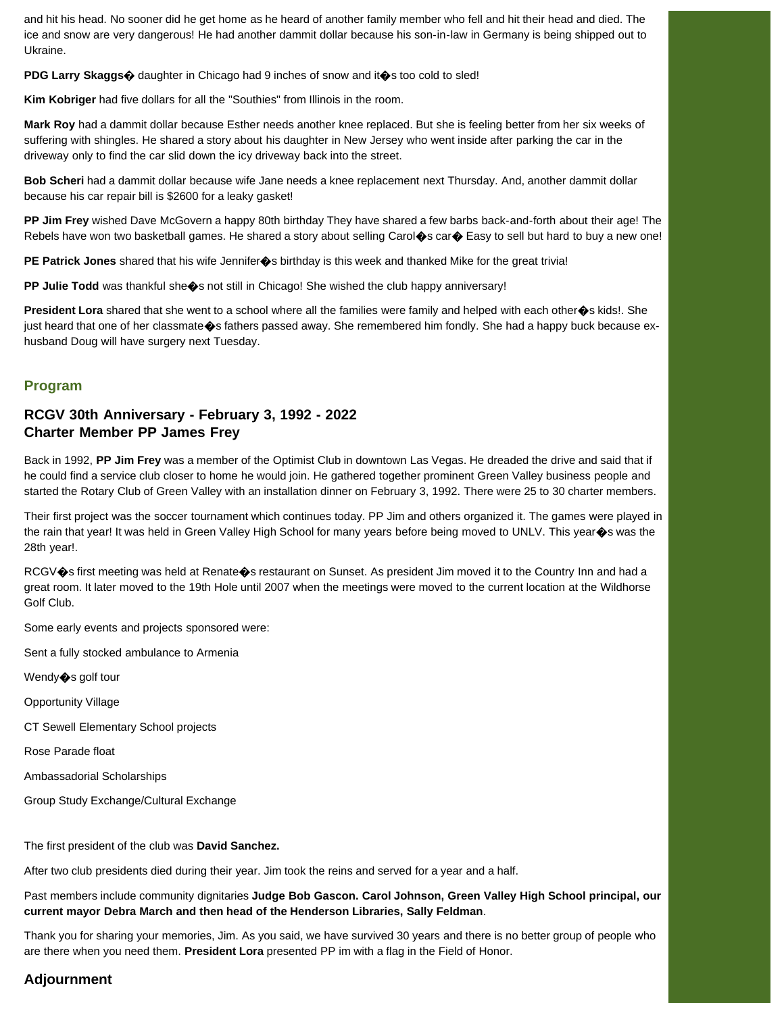and hit his head. No sooner did he get home as he heard of another family member who fell and hit their head and died. The ice and snow are very dangerous! He had another dammit dollar because his son-in-law in Germany is being shipped out to Ukraine.

**PDG Larry Skaggs** $\hat{\varphi}$  daughter in Chicago had 9 inches of snow and it  $\hat{\varphi}$ s too cold to sled!

**Kim Kobriger** had five dollars for all the "Southies" from Illinois in the room.

**Mark Roy** had a dammit dollar because Esther needs another knee replaced. But she is feeling better from her six weeks of suffering with shingles. He shared a story about his daughter in New Jersey who went inside after parking the car in the driveway only to find the car slid down the icy driveway back into the street.

**Bob Scheri** had a dammit dollar because wife Jane needs a knee replacement next Thursday. And, another dammit dollar because his car repair bill is \$2600 for a leaky gasket!

**PP Jim Frey** wished Dave McGovern a happy 80th birthday They have shared a few barbs back-and-forth about their age! The Rebels have won two basketball games. He shared a story about selling Carol $\hat{\bullet}$ s car $\hat{\bullet}$  Easy to sell but hard to buy a new one!

**PE Patrick Jones** shared that his wife Jennifer�s birthday is this week and thanked Mike for the great trivia!

**PP Julie Todd** was thankful she $\diamondsuit$ s not still in Chicago! She wished the club happy anniversary!

**President Lora** shared that she went to a school where all the families were family and helped with each other�s kids!. She just heard that one of her classmate  $\bullet$ s fathers passed away. She remembered him fondly. She had a happy buck because exhusband Doug will have surgery next Tuesday.

### **Program**

## **RCGV 30th Anniversary - February 3, 1992 - 2022 Charter Member PP James Frey**

Back in 1992, **PP Jim Frey** was a member of the Optimist Club in downtown Las Vegas. He dreaded the drive and said that if he could find a service club closer to home he would join. He gathered together prominent Green Valley business people and started the Rotary Club of Green Valley with an installation dinner on February 3, 1992. There were 25 to 30 charter members.

Their first project was the soccer tournament which continues today. PP Jim and others organized it. The games were played in the rain that year! It was held in Green Valley High School for many years before being moved to UNLV. This year $\hat{\bullet}$ s was the 28th year!.

RCGV $\circ$ s first meeting was held at Renate $\circ$ s restaurant on Sunset. As president Jim moved it to the Country Inn and had a great room. It later moved to the 19th Hole until 2007 when the meetings were moved to the current location at the Wildhorse Golf Club.

Some early events and projects sponsored were:

Sent a fully stocked ambulance to Armenia

Wendy $\diamond$ s golf tour

Opportunity Village

CT Sewell Elementary School projects

Rose Parade float

Ambassadorial Scholarships

Group Study Exchange/Cultural Exchange

The first president of the club was **David Sanchez.**

After two club presidents died during their year. Jim took the reins and served for a year and a half.

Past members include community dignitaries **Judge Bob Gascon. Carol Johnson, Green Valley High School principal, our current mayor Debra March and then head of the Henderson Libraries, Sally Feldman**.

Thank you for sharing your memories, Jim. As you said, we have survived 30 years and there is no better group of people who are there when you need them. **President Lora** presented PP im with a flag in the Field of Honor.

# **Adjournment**